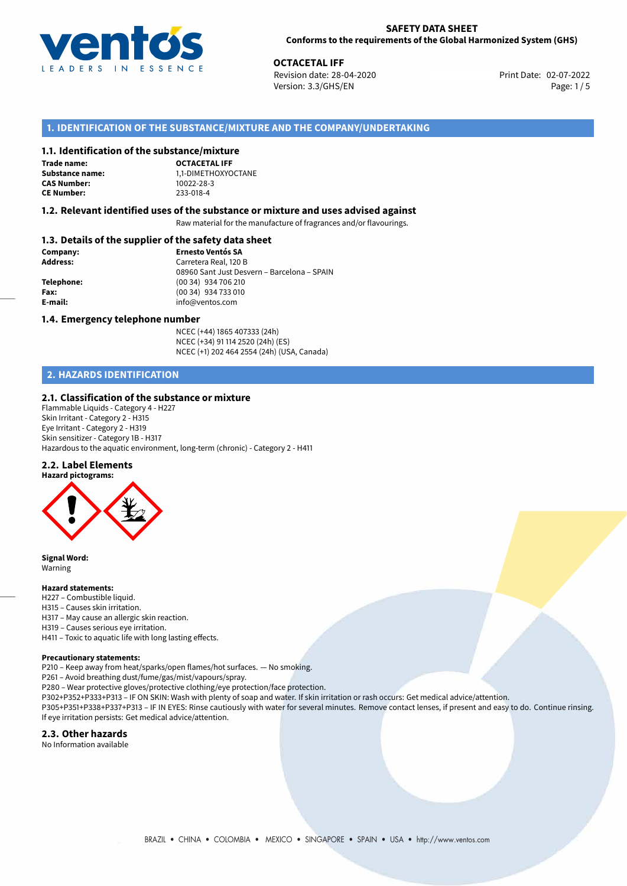

**OCTACETAL IFF**<br>
Revision date: 28-04-2020 **Print Date: 02-07-2022** Version: 3.3/GHS/EN Page: 1/5

# **1. IDENTIFICATION OF THE SUBSTANCE/MIXTURE AND THE COMPANY/UNDERTAKING**

## **1.1. Identification of the substance/mixture**

**Trade name: CAS Number: CE Number:** 233-018-4

**OCTACETAL IFF Substance name:** 1,1-DIMETHOXYOCTANE<br> **CAS Number:** 10022-28-3

## **1.2. Relevant identified uses of the substance or mixture and uses advised against**

Raw material for the manufacture of fragrances and/or flavourings.

# **1.3. Details of the supplier of the safety data sheet**

| Company:        | <b>Ernesto Ventós SA</b>                    |
|-----------------|---------------------------------------------|
| <b>Address:</b> | Carretera Real, 120 B                       |
|                 | 08960 Sant Just Desvern - Barcelona - SPAIN |
| Telephone:      | (00 34) 934 706 210                         |
| Fax:            | (00 34) 934 733 010                         |
| E-mail:         | info@ventos.com                             |
|                 |                                             |

#### **1.4. Emergency telephone number**

NCEC (+44) 1865 407333 (24h) NCEC (+34) 91 114 2520 (24h) (ES) NCEC (+1) 202 464 2554 (24h) (USA, Canada)

# **2. HAZARDS IDENTIFICATION**

#### **2.1. Classification of the substance or mixture**

Flammable Liquids - Category 4 - H227 Skin Irritant - Category 2 - H315 Eye Irritant - Category 2 - H319 Skin sensitizer - Category 1B - H317 Hazardous to the aquatic environment, long-term (chronic) - Category 2 - H411

#### **2.2. Label Elements**





**Signal Word:** Warning

#### **Hazard statements:**

- H227 Combustible liquid.
- H315 Causes skin irritation.
- H317 May cause an allergic skin reaction.
- H319 Causes serious eye irritation.
- H411 Toxic to aquatic life with long lasting effects.

#### **Precautionary statements:**

P210 – Keep away from heat/sparks/open flames/hot surfaces. — No smoking.

P261 – Avoid breathing dust/fume/gas/mist/vapours/spray.

P280 – Wear protective gloves/protective clothing/eye protection/face protection.

P302+P352+P333+P313 – IF ON SKIN: Wash with plenty of soap and water. If skin irritation or rash occurs: Get medical advice/attention.

P305+P351+P338+P337+P313 – IF IN EYES: Rinse cautiously with water for several minutes. Remove contact lenses, if present and easy to do. Continue rinsing. If eye irritation persists: Get medical advice/attention.

#### **2.3. Other hazards**

No Information available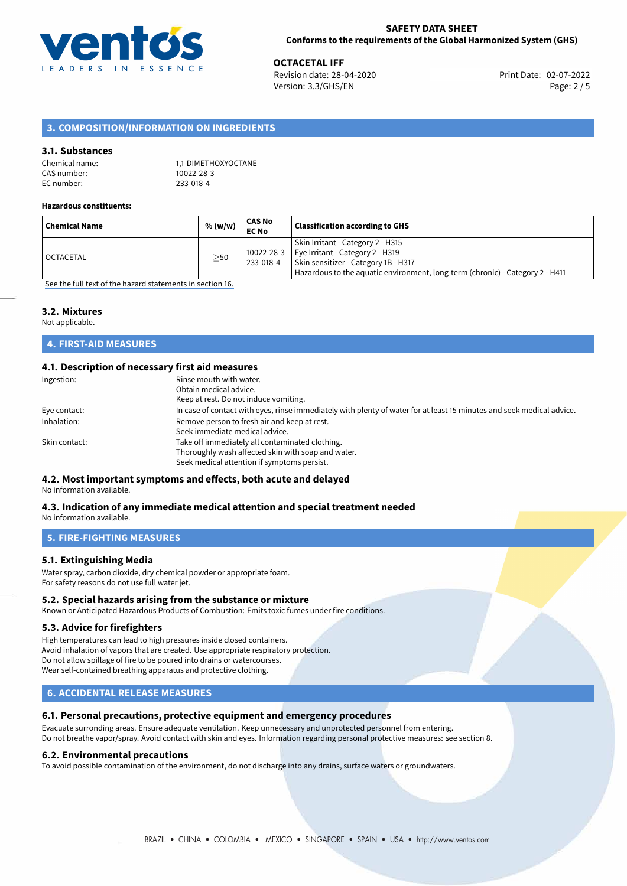

**OCTACETAL IFF**<br>
Revision date: 28-04-2020<br> **Devision date: 28-04-2020** Revision date: 28-04-2020 Version: 3.3/GHS/EN Page: 2 / 5

# **3. COMPOSITION/INFORMATION ON INGREDIENTS**

## **3.1. Substances**

| Chemical name: | 1,1-DIMETHOXYOCTANE |
|----------------|---------------------|
| CAS number:    | 10022-28-3          |
| EC number:     | 233-018-4           |

#### **Hazardous constituents:**

| <sup>i</sup> Chemical Name | % (w/w)   | CAS No<br><b>EC No</b>  | <b>Classification according to GHS</b>                                                                                                                                                         |
|----------------------------|-----------|-------------------------|------------------------------------------------------------------------------------------------------------------------------------------------------------------------------------------------|
| l OCTACETAL                | $\geq$ 50 | 10022-28-3<br>233-018-4 | Skin Irritant - Category 2 - H315<br>Eye Irritant - Category 2 - H319<br>Skin sensitizer - Category 1B - H317<br>Hazardous to the aquatic environment, long-term (chronic) - Category 2 - H411 |

[See the full text of the hazard statements in section 16.](#page-4-0)

# **3.2. Mixtures**

Not applicable.

# **4. FIRST-AID MEASURES**

# **4.1. Description of necessary first aid measures**

| Ingestion:    | Rinse mouth with water.                                                                                               |
|---------------|-----------------------------------------------------------------------------------------------------------------------|
|               | Obtain medical advice.                                                                                                |
|               | Keep at rest. Do not induce vomiting.                                                                                 |
| Eye contact:  | In case of contact with eyes, rinse immediately with plenty of water for at least 15 minutes and seek medical advice. |
| Inhalation:   | Remove person to fresh air and keep at rest.                                                                          |
|               | Seek immediate medical advice.                                                                                        |
| Skin contact: | Take off immediately all contaminated clothing.                                                                       |
|               | Thoroughly wash affected skin with soap and water.                                                                    |
|               | Seek medical attention if symptoms persist.                                                                           |

# **4.2. Most important symptoms and effects, both acute and delayed**

No information available.

#### **4.3. Indication of any immediate medical attention and special treatment needed** No information available.

**5. FIRE-FIGHTING MEASURES**

## **5.1. Extinguishing Media**

Water spray, carbon dioxide, dry chemical powder or appropriate foam. For safety reasons do not use full water jet.

## **5.2. Special hazards arising from the substance or mixture**

Known or Anticipated Hazardous Products of Combustion: Emits toxic fumes under fire conditions.

#### **5.3. Advice for firefighters**

High temperatures can lead to high pressures inside closed containers. Avoid inhalation of vapors that are created. Use appropriate respiratory protection. Do not allow spillage of fire to be poured into drains or watercourses. Wear self-contained breathing apparatus and protective clothing.

# **6. ACCIDENTAL RELEASE MEASURES**

# **6.1. Personal precautions, protective equipment and emergency procedures**

Evacuate surronding areas. Ensure adequate ventilation. Keep unnecessary and unprotected personnel from entering. Do not breathe vapor/spray. Avoid contact with skin and eyes. Information regarding personal protective measures: see section 8.

#### **6.2. Environmental precautions**

To avoid possible contamination of the environment, do not discharge into any drains, surface waters or groundwaters.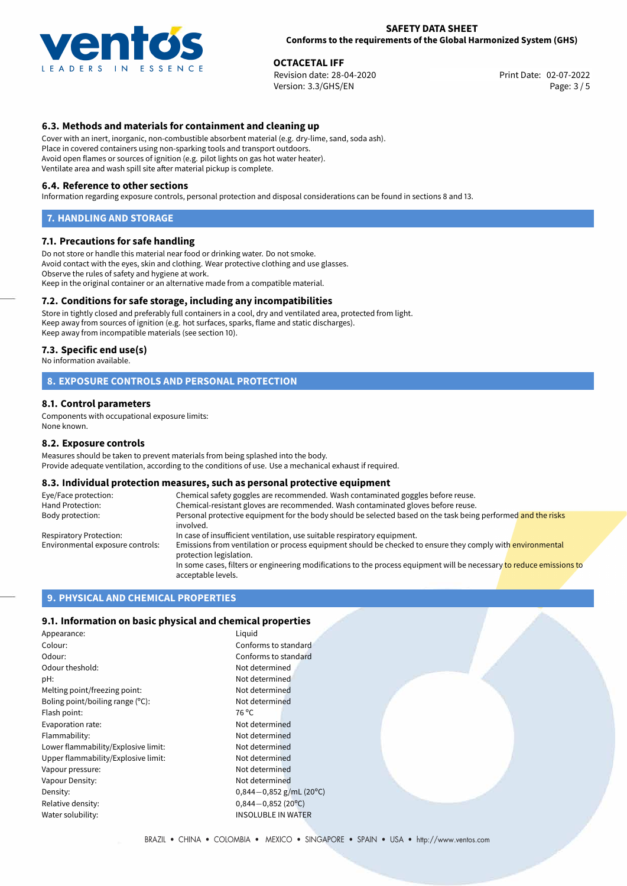

**OCTACETAL IFF**<br>
Revision date: 28-04-2020<br> **Devision date: 28-04-2020** Revision date: 28-04-2020 Version: 3.3/GHS/EN Page: 3 / 5

# **6.3. Methods and materials for containment and cleaning up**

Cover with an inert, inorganic, non-combustible absorbent material (e.g. dry-lime, sand, soda ash). Place in covered containers using non-sparking tools and transport outdoors. Avoid open flames or sources of ignition (e.g. pilot lights on gas hot water heater). Ventilate area and wash spill site after material pickup is complete.

#### **6.4. Reference to other sections**

Information regarding exposure controls, personal protection and disposal considerations can be found in sections 8 and 13.

# **7. HANDLING AND STORAGE**

#### **7.1. Precautions for safe handling**

Do not store or handle this material near food or drinking water. Do not smoke. Avoid contact with the eyes, skin and clothing. Wear protective clothing and use glasses. Observe the rules of safety and hygiene at work. Keep in the original container or an alternative made from a compatible material.

## **7.2. Conditions for safe storage, including any incompatibilities**

Store in tightly closed and preferably full containers in a cool, dry and ventilated area, protected from light. Keep away from sources of ignition (e.g. hot surfaces, sparks, flame and static discharges). Keep away from incompatible materials (see section 10).

#### **7.3. Specific end use(s)**

No information available.

## **8. EXPOSURE CONTROLS AND PERSONAL PROTECTION**

#### **8.1. Control parameters**

Components with occupational exposure limits: None known.

#### **8.2. Exposure controls**

Measures should be taken to prevent materials from being splashed into the body. Provide adequate ventilation, according to the conditions of use. Use a mechanical exhaust if required.

#### **8.3. Individual protection measures, such as personal protective equipment**

| Eye/Face protection:             | Chemical safety goggles are recommended. Wash contaminated goggles before reuse.                                                            |
|----------------------------------|---------------------------------------------------------------------------------------------------------------------------------------------|
| Hand Protection:                 | Chemical-resistant gloves are recommended. Wash contaminated gloves before reuse.                                                           |
| Body protection:                 | Personal protective equipment for the body should be selected based on the task being performed and the risks<br>involved.                  |
| Respiratory Protection:          | In case of insufficient ventilation, use suitable respiratory equipment.                                                                    |
| Environmental exposure controls: | Emissions from ventilation or process equipment should be checked to ensure they comply with environmental<br>protection legislation.       |
|                                  | In some cases, filters or engineering modifications to the process equipment will be necessary to reduce emissions to<br>acceptable levels. |

## **9. PHYSICAL AND CHEMICAL PROPERTIES**

## **9.1. Information on basic physical and chemical properties**

| Appearance:                         | Liguid                      |
|-------------------------------------|-----------------------------|
| Colour:                             | Conforms to standard        |
| Odour:                              | Conforms to standard        |
| Odour theshold:                     | Not determined              |
| pH:                                 | Not determined              |
| Melting point/freezing point:       | Not determined              |
| Boling point/boiling range (°C):    | Not determined              |
| Flash point:                        | 76 °C                       |
| Evaporation rate:                   | Not determined              |
| Flammability:                       | Not determined              |
| Lower flammability/Explosive limit: | Not determined              |
| Upper flammability/Explosive limit: | Not determined              |
| Vapour pressure:                    | Not determined              |
| Vapour Density:                     | Not determined              |
| Density:                            | 0,844 $-0$ ,852 g/mL (20°C) |
| Relative density:                   | $0,844 - 0,852(20°C)$       |
| Water solubility:                   | <b>INSOLUBLE IN WATER</b>   |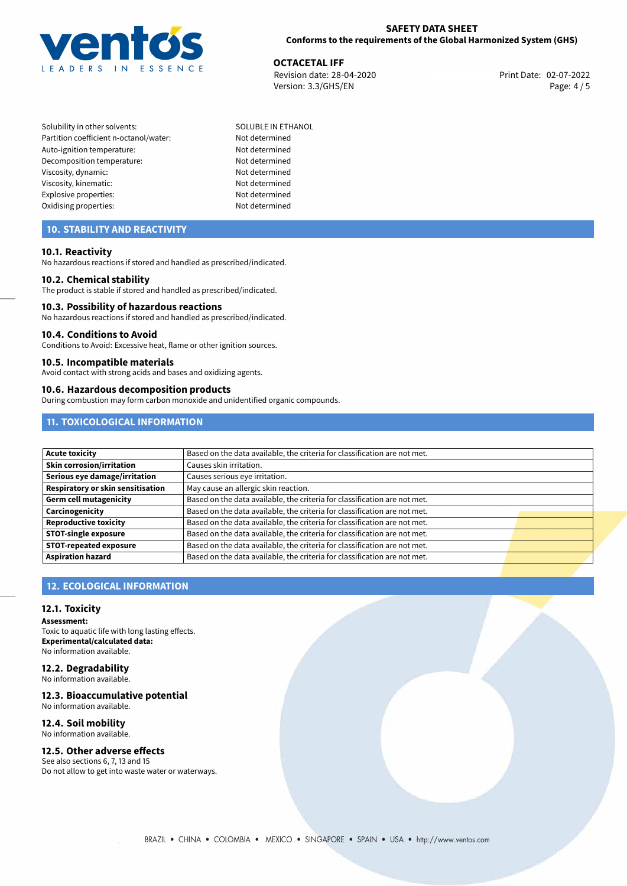

**OCTACETAL IFF**<br>
Revision date: 28-04-2020 **Print Date: 02-07-2022** Version: 3.3/GHS/EN Page: 4/5

Solubility in other solvents: SOLUBLE IN ETHANOL Partition coefficient n-octanol/water: Not determined Auto-ignition temperature: Not determined Decomposition temperature: Not determined Viscosity, dynamic: Not determined Viscosity, kinematic: Not determined Explosive properties: Not determined Oxidising properties: Not determined

# **10. STABILITY AND REACTIVITY**

## **10.1. Reactivity**

No hazardous reactions if stored and handled as prescribed/indicated.

#### **10.2. Chemical stability**

The product is stable if stored and handled as prescribed/indicated.

#### **10.3. Possibility of hazardous reactions**

No hazardous reactions if stored and handled as prescribed/indicated.

#### **10.4. Conditions to Avoid**

Conditions to Avoid: Excessive heat, flame or other ignition sources.

#### **10.5. Incompatible materials**

Avoid contact with strong acids and bases and oxidizing agents.

## **10.6. Hazardous decomposition products**

During combustion may form carbon monoxide and unidentified organic compounds.

# **11. TOXICOLOGICAL INFORMATION**

| <b>Acute toxicity</b>             | Based on the data available, the criteria for classification are not met. |  |
|-----------------------------------|---------------------------------------------------------------------------|--|
| Skin corrosion/irritation         | Causes skin irritation.                                                   |  |
| Serious eye damage/irritation     | Causes serious eye irritation.                                            |  |
| Respiratory or skin sensitisation | May cause an allergic skin reaction.                                      |  |
| Germ cell mutagenicity            | Based on the data available, the criteria for classification are not met. |  |
| Carcinogenicity                   | Based on the data available, the criteria for classification are not met. |  |
| <b>Reproductive toxicity</b>      | Based on the data available, the criteria for classification are not met. |  |
| <b>STOT-single exposure</b>       | Based on the data available, the criteria for classification are not met. |  |
| <b>STOT-repeated exposure</b>     | Based on the data available, the criteria for classification are not met. |  |
| <b>Aspiration hazard</b>          | Based on the data available, the criteria for classification are not met. |  |

# **12. ECOLOGICAL INFORMATION**

#### **12.1. Toxicity**

**Assessment:** Toxic to aquatic life with long lasting effects. **Experimental/calculated data:** No information available.

#### **12.2. Degradability** No information available.

**12.3. Bioaccumulative potential**

No information available.

#### **12.4. Soil mobility** No information available.

# **12.5. Other adverse effects**

See also sections 6, 7, 13 and 15 Do not allow to get into waste water or waterways.